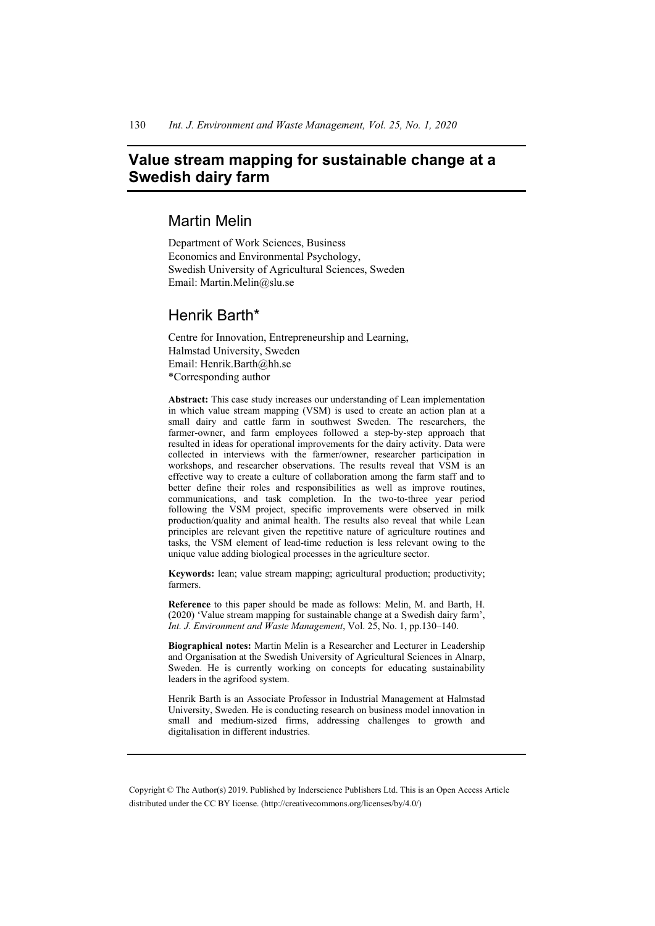# **Value stream mapping for sustainable change at a Swedish dairy farm**

# Martin Melin

Department of Work Sciences, Business Economics and Environmental Psychology, Swedish University of Agricultural Sciences, Sweden Email: Martin.Melin@slu.se

## Henrik Barth\*

Centre for Innovation, Entrepreneurship and Learning, Halmstad University, Sweden Email: Henrik.Barth@hh.se \*Corresponding author

**Abstract:** This case study increases our understanding of Lean implementation in which value stream mapping (VSM) is used to create an action plan at a small dairy and cattle farm in southwest Sweden. The researchers, the farmer-owner, and farm employees followed a step-by-step approach that resulted in ideas for operational improvements for the dairy activity. Data were collected in interviews with the farmer/owner, researcher participation in workshops, and researcher observations. The results reveal that VSM is an effective way to create a culture of collaboration among the farm staff and to better define their roles and responsibilities as well as improve routines, communications, and task completion. In the two-to-three year period following the VSM project, specific improvements were observed in milk production/quality and animal health. The results also reveal that while Lean principles are relevant given the repetitive nature of agriculture routines and tasks, the VSM element of lead-time reduction is less relevant owing to the unique value adding biological processes in the agriculture sector.

**Keywords:** lean; value stream mapping; agricultural production; productivity; farmers.

**Reference** to this paper should be made as follows: Melin, M. and Barth, H. (2020) 'Value stream mapping for sustainable change at a Swedish dairy farm', *Int. J. Environment and Waste Management*, Vol. 25, No. 1, pp.130–140.

**Biographical notes:** Martin Melin is a Researcher and Lecturer in Leadership and Organisation at the Swedish University of Agricultural Sciences in Alnarp, Sweden. He is currently working on concepts for educating sustainability leaders in the agrifood system.

Henrik Barth is an Associate Professor in Industrial Management at Halmstad University, Sweden. He is conducting research on business model innovation in small and medium-sized firms, addressing challenges to growth and digitalisation in different industries.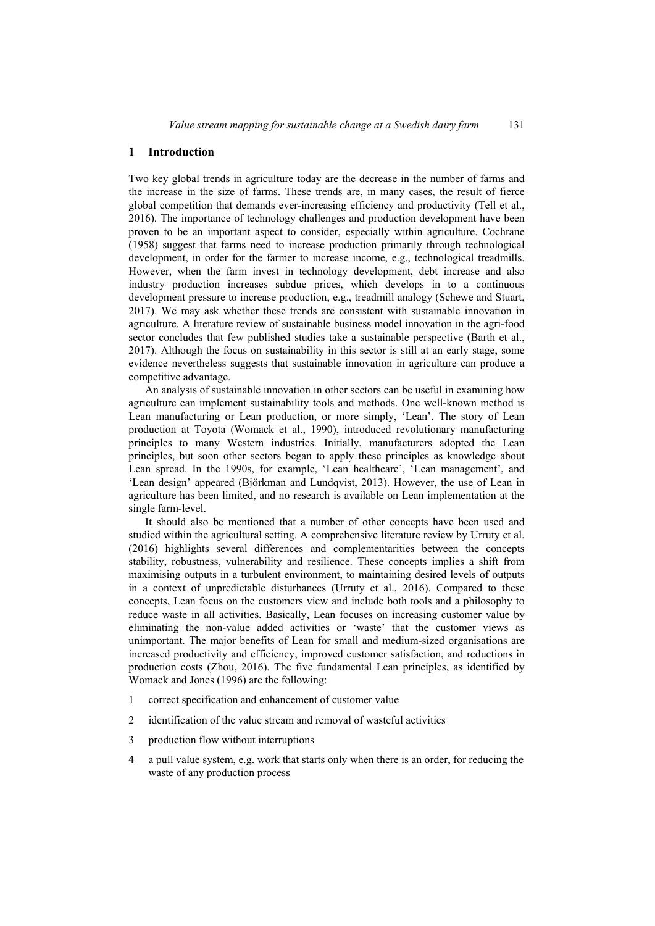### **1 Introduction**

Two key global trends in agriculture today are the decrease in the number of farms and the increase in the size of farms. These trends are, in many cases, the result of fierce global competition that demands ever-increasing efficiency and productivity (Tell et al., 2016). The importance of technology challenges and production development have been proven to be an important aspect to consider, especially within agriculture. Cochrane (1958) suggest that farms need to increase production primarily through technological development, in order for the farmer to increase income, e.g., technological treadmills. However, when the farm invest in technology development, debt increase and also industry production increases subdue prices, which develops in to a continuous development pressure to increase production, e.g., treadmill analogy (Schewe and Stuart, 2017). We may ask whether these trends are consistent with sustainable innovation in agriculture. A literature review of sustainable business model innovation in the agri-food sector concludes that few published studies take a sustainable perspective (Barth et al., 2017). Although the focus on sustainability in this sector is still at an early stage, some evidence nevertheless suggests that sustainable innovation in agriculture can produce a competitive advantage.

An analysis of sustainable innovation in other sectors can be useful in examining how agriculture can implement sustainability tools and methods. One well-known method is Lean manufacturing or Lean production, or more simply, 'Lean'. The story of Lean production at Toyota (Womack et al., 1990), introduced revolutionary manufacturing principles to many Western industries. Initially, manufacturers adopted the Lean principles, but soon other sectors began to apply these principles as knowledge about Lean spread. In the 1990s, for example, 'Lean healthcare', 'Lean management', and 'Lean design' appeared (Björkman and Lundqvist, 2013). However, the use of Lean in agriculture has been limited, and no research is available on Lean implementation at the single farm-level.

It should also be mentioned that a number of other concepts have been used and studied within the agricultural setting. A comprehensive literature review by Urruty et al. (2016) highlights several differences and complementarities between the concepts stability, robustness, vulnerability and resilience. These concepts implies a shift from maximising outputs in a turbulent environment, to maintaining desired levels of outputs in a context of unpredictable disturbances (Urruty et al., 2016). Compared to these concepts, Lean focus on the customers view and include both tools and a philosophy to reduce waste in all activities. Basically, Lean focuses on increasing customer value by eliminating the non-value added activities or 'waste' that the customer views as unimportant. The major benefits of Lean for small and medium-sized organisations are increased productivity and efficiency, improved customer satisfaction, and reductions in production costs (Zhou, 2016). The five fundamental Lean principles, as identified by Womack and Jones (1996) are the following:

- 1 correct specification and enhancement of customer value
- 2 identification of the value stream and removal of wasteful activities
- 3 production flow without interruptions
- 4 a pull value system, e.g. work that starts only when there is an order, for reducing the waste of any production process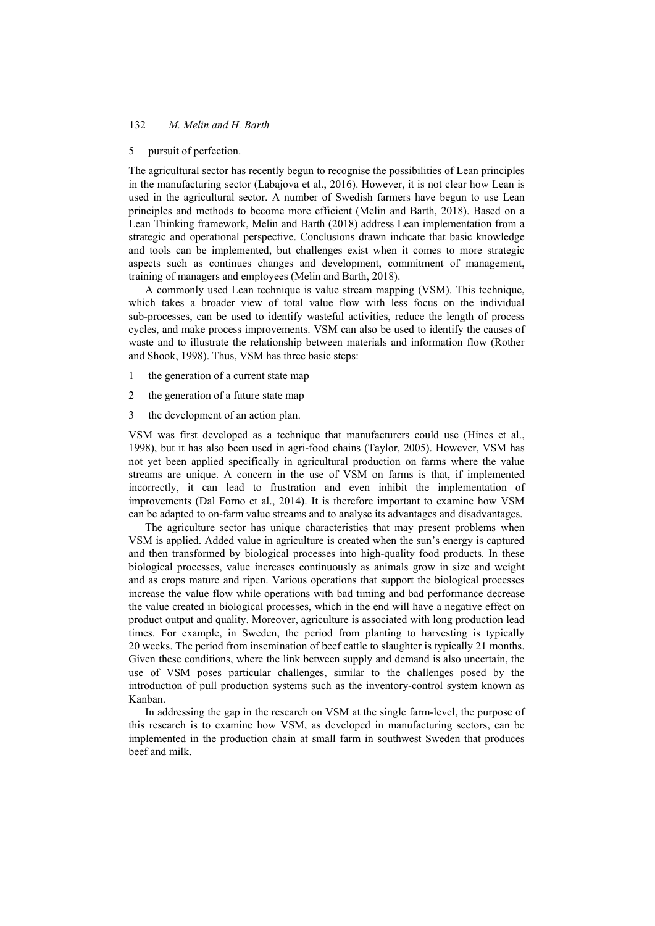### 5 pursuit of perfection.

The agricultural sector has recently begun to recognise the possibilities of Lean principles in the manufacturing sector (Labajova et al., 2016). However, it is not clear how Lean is used in the agricultural sector. A number of Swedish farmers have begun to use Lean principles and methods to become more efficient (Melin and Barth, 2018). Based on a Lean Thinking framework, Melin and Barth (2018) address Lean implementation from a strategic and operational perspective. Conclusions drawn indicate that basic knowledge and tools can be implemented, but challenges exist when it comes to more strategic aspects such as continues changes and development, commitment of management, training of managers and employees (Melin and Barth, 2018).

A commonly used Lean technique is value stream mapping (VSM). This technique, which takes a broader view of total value flow with less focus on the individual sub-processes, can be used to identify wasteful activities, reduce the length of process cycles, and make process improvements. VSM can also be used to identify the causes of waste and to illustrate the relationship between materials and information flow (Rother and Shook, 1998). Thus, VSM has three basic steps:

- 1 the generation of a current state map
- 2 the generation of a future state map
- 3 the development of an action plan.

VSM was first developed as a technique that manufacturers could use (Hines et al., 1998), but it has also been used in agri-food chains (Taylor, 2005). However, VSM has not yet been applied specifically in agricultural production on farms where the value streams are unique. A concern in the use of VSM on farms is that, if implemented incorrectly, it can lead to frustration and even inhibit the implementation of improvements (Dal Forno et al., 2014). It is therefore important to examine how VSM can be adapted to on-farm value streams and to analyse its advantages and disadvantages.

The agriculture sector has unique characteristics that may present problems when VSM is applied. Added value in agriculture is created when the sun's energy is captured and then transformed by biological processes into high-quality food products. In these biological processes, value increases continuously as animals grow in size and weight and as crops mature and ripen. Various operations that support the biological processes increase the value flow while operations with bad timing and bad performance decrease the value created in biological processes, which in the end will have a negative effect on product output and quality. Moreover, agriculture is associated with long production lead times. For example, in Sweden, the period from planting to harvesting is typically 20 weeks. The period from insemination of beef cattle to slaughter is typically 21 months. Given these conditions, where the link between supply and demand is also uncertain, the use of VSM poses particular challenges, similar to the challenges posed by the introduction of pull production systems such as the inventory-control system known as Kanban.

In addressing the gap in the research on VSM at the single farm-level, the purpose of this research is to examine how VSM, as developed in manufacturing sectors, can be implemented in the production chain at small farm in southwest Sweden that produces beef and milk.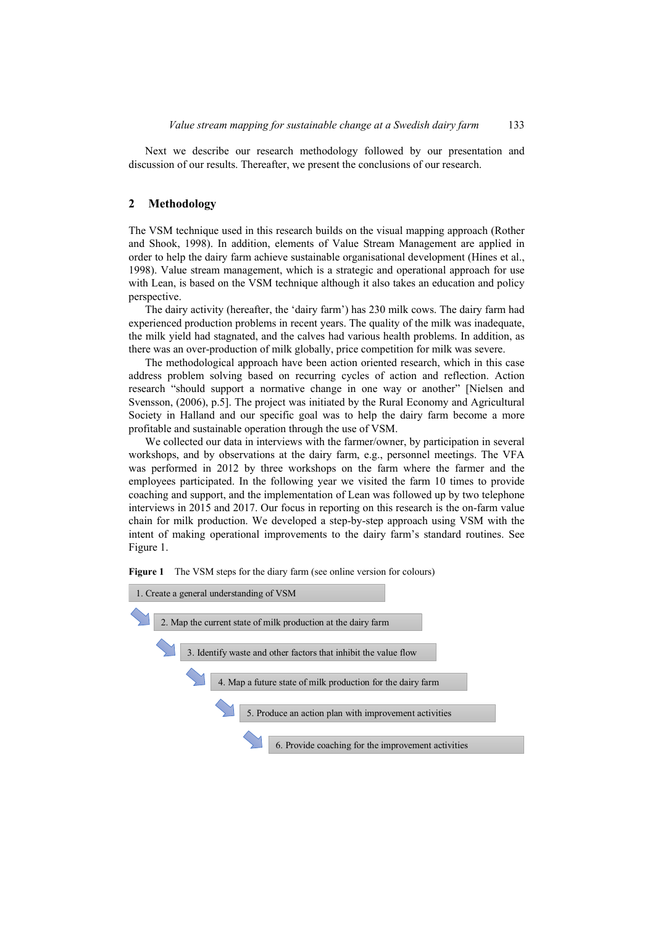Next we describe our research methodology followed by our presentation and discussion of our results. Thereafter, we present the conclusions of our research.

#### **2 Methodology**

The VSM technique used in this research builds on the visual mapping approach (Rother and Shook, 1998). In addition, elements of Value Stream Management are applied in order to help the dairy farm achieve sustainable organisational development (Hines et al., 1998). Value stream management, which is a strategic and operational approach for use with Lean, is based on the VSM technique although it also takes an education and policy perspective.

The dairy activity (hereafter, the 'dairy farm') has 230 milk cows. The dairy farm had experienced production problems in recent years. The quality of the milk was inadequate, the milk yield had stagnated, and the calves had various health problems. In addition, as there was an over-production of milk globally, price competition for milk was severe.

The methodological approach have been action oriented research, which in this case address problem solving based on recurring cycles of action and reflection. Action research "should support a normative change in one way or another" [Nielsen and Svensson, (2006), p.5]. The project was initiated by the Rural Economy and Agricultural Society in Halland and our specific goal was to help the dairy farm become a more profitable and sustainable operation through the use of VSM.

We collected our data in interviews with the farmer/owner, by participation in several workshops, and by observations at the dairy farm, e.g., personnel meetings. The VFA was performed in 2012 by three workshops on the farm where the farmer and the employees participated. In the following year we visited the farm 10 times to provide coaching and support, and the implementation of Lean was followed up by two telephone interviews in 2015 and 2017. Our focus in reporting on this research is the on-farm value chain for milk production. We developed a step-by-step approach using VSM with the intent of making operational improvements to the dairy farm's standard routines. See Figure 1.

**Figure 1** The VSM steps for the diary farm (see online version for colours)

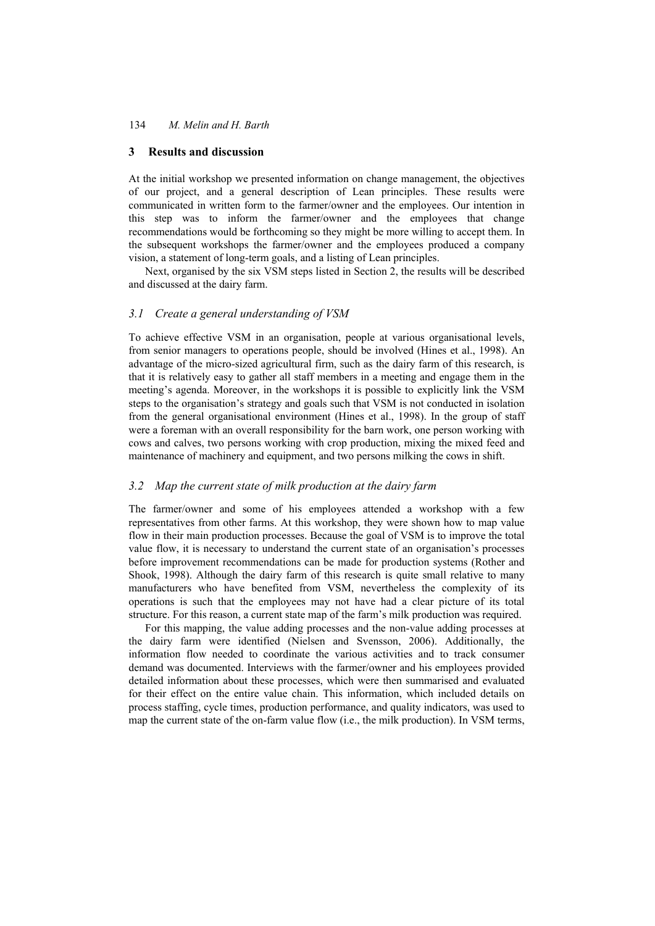### **3 Results and discussion**

At the initial workshop we presented information on change management, the objectives of our project, and a general description of Lean principles. These results were communicated in written form to the farmer/owner and the employees. Our intention in this step was to inform the farmer/owner and the employees that change recommendations would be forthcoming so they might be more willing to accept them. In the subsequent workshops the farmer/owner and the employees produced a company vision, a statement of long-term goals, and a listing of Lean principles.

Next, organised by the six VSM steps listed in Section 2, the results will be described and discussed at the dairy farm.

## *3.1 Create a general understanding of VSM*

To achieve effective VSM in an organisation, people at various organisational levels, from senior managers to operations people, should be involved (Hines et al., 1998). An advantage of the micro-sized agricultural firm, such as the dairy farm of this research, is that it is relatively easy to gather all staff members in a meeting and engage them in the meeting's agenda. Moreover, in the workshops it is possible to explicitly link the VSM steps to the organisation's strategy and goals such that VSM is not conducted in isolation from the general organisational environment (Hines et al., 1998). In the group of staff were a foreman with an overall responsibility for the barn work, one person working with cows and calves, two persons working with crop production, mixing the mixed feed and maintenance of machinery and equipment, and two persons milking the cows in shift.

### *3.2 Map the current state of milk production at the dairy farm*

The farmer/owner and some of his employees attended a workshop with a few representatives from other farms. At this workshop, they were shown how to map value flow in their main production processes. Because the goal of VSM is to improve the total value flow, it is necessary to understand the current state of an organisation's processes before improvement recommendations can be made for production systems (Rother and Shook, 1998). Although the dairy farm of this research is quite small relative to many manufacturers who have benefited from VSM, nevertheless the complexity of its operations is such that the employees may not have had a clear picture of its total structure. For this reason, a current state map of the farm's milk production was required.

For this mapping, the value adding processes and the non-value adding processes at the dairy farm were identified (Nielsen and Svensson, 2006). Additionally, the information flow needed to coordinate the various activities and to track consumer demand was documented. Interviews with the farmer/owner and his employees provided detailed information about these processes, which were then summarised and evaluated for their effect on the entire value chain. This information, which included details on process staffing, cycle times, production performance, and quality indicators, was used to map the current state of the on-farm value flow (i.e., the milk production). In VSM terms,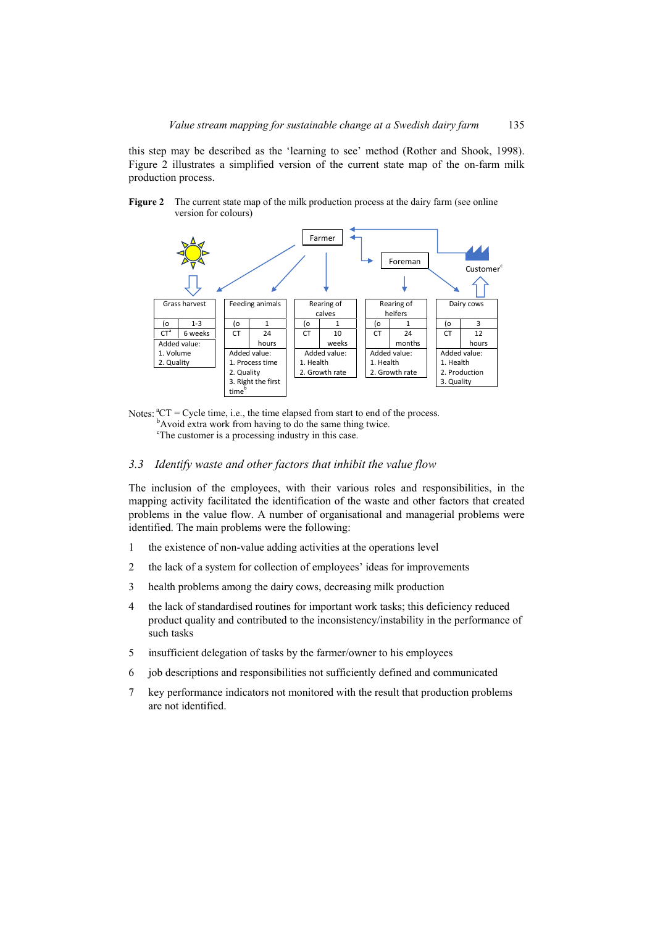this step may be described as the 'learning to see' method (Rother and Shook, 1998). Figure 2 illustrates a simplified version of the current state map of the on-farm milk production process.





Notes:  ${}^{a}CT = Cycle$  time, i.e., the time elapsed from start to end of the process. <sup>b</sup>Avoid extra work from having to do the same thing twice.

<sup>c</sup>The customer is a processing industry in this case.

### *3.3 Identify waste and other factors that inhibit the value flow*

The inclusion of the employees, with their various roles and responsibilities, in the mapping activity facilitated the identification of the waste and other factors that created problems in the value flow. A number of organisational and managerial problems were identified. The main problems were the following:

- 1 the existence of non-value adding activities at the operations level
- 2 the lack of a system for collection of employees' ideas for improvements
- 3 health problems among the dairy cows, decreasing milk production
- 4 the lack of standardised routines for important work tasks; this deficiency reduced product quality and contributed to the inconsistency/instability in the performance of such tasks
- 5 insufficient delegation of tasks by the farmer/owner to his employees
- 6 job descriptions and responsibilities not sufficiently defined and communicated
- 7 key performance indicators not monitored with the result that production problems are not identified.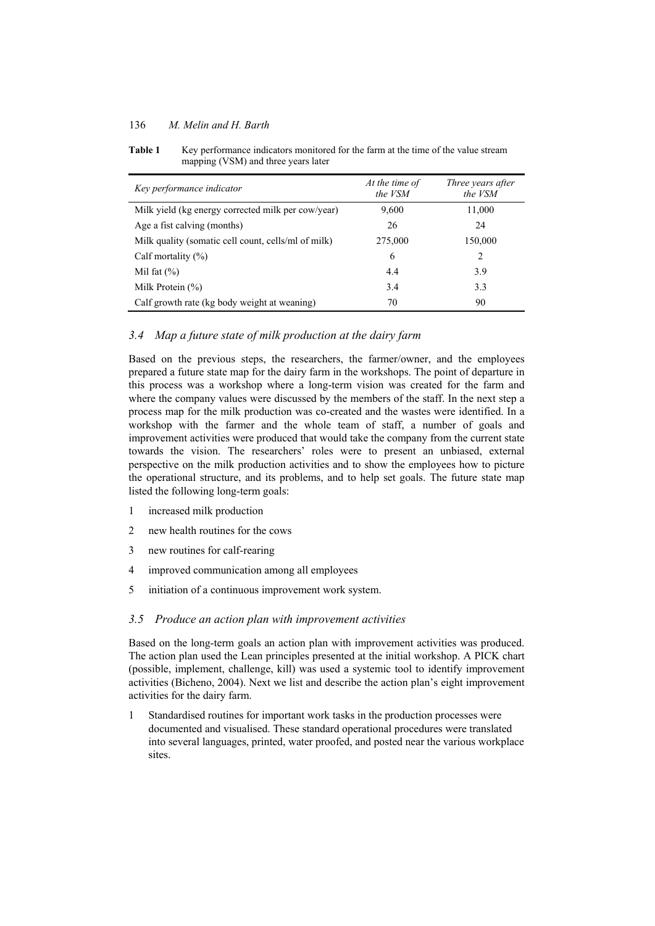### 136 *M. Melin and H. Barth*

| Key performance indicator                           | At the time of<br>the VSM | Three years after<br>the VSM |
|-----------------------------------------------------|---------------------------|------------------------------|
| Milk yield (kg energy corrected milk per cow/year)  | 9,600                     | 11,000                       |
| Age a fist calving (months)                         | 26                        | 24                           |
| Milk quality (somatic cell count, cells/ml of milk) | 275,000                   | 150,000                      |
| Calf mortality $(\%)$                               | 6                         | 2                            |
| Mil fat $(\% )$                                     | 4.4                       | 3.9                          |
| Milk Protein $(\%)$                                 | 3.4                       | 3.3                          |
| Calf growth rate (kg body weight at weaning)        | 70                        | 90                           |

**Table 1** Key performance indicators monitored for the farm at the time of the value stream mapping (VSM) and three years later

## *3.4 Map a future state of milk production at the dairy farm*

Based on the previous steps, the researchers, the farmer/owner, and the employees prepared a future state map for the dairy farm in the workshops. The point of departure in this process was a workshop where a long-term vision was created for the farm and where the company values were discussed by the members of the staff. In the next step a process map for the milk production was co-created and the wastes were identified. In a workshop with the farmer and the whole team of staff, a number of goals and improvement activities were produced that would take the company from the current state towards the vision. The researchers' roles were to present an unbiased, external perspective on the milk production activities and to show the employees how to picture the operational structure, and its problems, and to help set goals. The future state map listed the following long-term goals:

- 1 increased milk production
- 2 new health routines for the cows
- 3 new routines for calf-rearing
- 4 improved communication among all employees
- 5 initiation of a continuous improvement work system.

### *3.5 Produce an action plan with improvement activities*

Based on the long-term goals an action plan with improvement activities was produced. The action plan used the Lean principles presented at the initial workshop. A PICK chart (possible, implement, challenge, kill) was used a systemic tool to identify improvement activities (Bicheno, 2004). Next we list and describe the action plan's eight improvement activities for the dairy farm.

1 Standardised routines for important work tasks in the production processes were documented and visualised. These standard operational procedures were translated into several languages, printed, water proofed, and posted near the various workplace sites.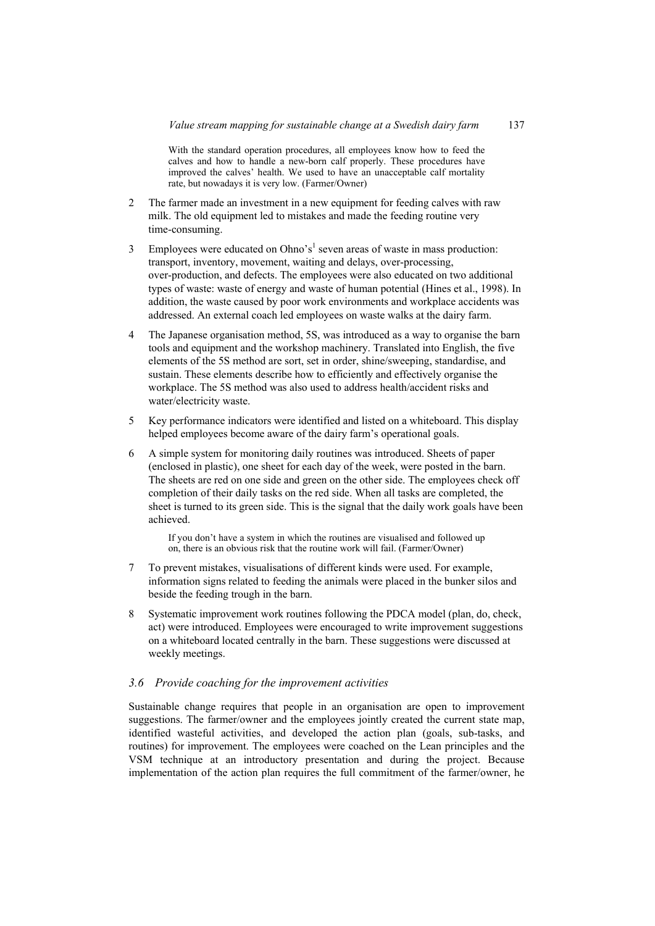With the standard operation procedures, all employees know how to feed the calves and how to handle a new-born calf properly. These procedures have improved the calves' health. We used to have an unacceptable calf mortality rate, but nowadays it is very low. (Farmer/Owner)

- 2 The farmer made an investment in a new equipment for feeding calves with raw milk. The old equipment led to mistakes and made the feeding routine very time-consuming.
- 3 Employees were educated on Ohno's<sup>1</sup> seven areas of waste in mass production: transport, inventory, movement, waiting and delays, over-processing, over-production, and defects. The employees were also educated on two additional types of waste: waste of energy and waste of human potential (Hines et al., 1998). In addition, the waste caused by poor work environments and workplace accidents was addressed. An external coach led employees on waste walks at the dairy farm.
- 4 The Japanese organisation method, 5S, was introduced as a way to organise the barn tools and equipment and the workshop machinery. Translated into English, the five elements of the 5S method are sort, set in order, shine/sweeping, standardise, and sustain. These elements describe how to efficiently and effectively organise the workplace. The 5S method was also used to address health/accident risks and water/electricity waste.
- 5 Key performance indicators were identified and listed on a whiteboard. This display helped employees become aware of the dairy farm's operational goals.
- 6 A simple system for monitoring daily routines was introduced. Sheets of paper (enclosed in plastic), one sheet for each day of the week, were posted in the barn. The sheets are red on one side and green on the other side. The employees check off completion of their daily tasks on the red side. When all tasks are completed, the sheet is turned to its green side. This is the signal that the daily work goals have been achieved.

If you don't have a system in which the routines are visualised and followed up on, there is an obvious risk that the routine work will fail. (Farmer/Owner)

- 7 To prevent mistakes, visualisations of different kinds were used. For example, information signs related to feeding the animals were placed in the bunker silos and beside the feeding trough in the barn.
- 8 Systematic improvement work routines following the PDCA model (plan, do, check, act) were introduced. Employees were encouraged to write improvement suggestions on a whiteboard located centrally in the barn. These suggestions were discussed at weekly meetings.

### *3.6 Provide coaching for the improvement activities*

Sustainable change requires that people in an organisation are open to improvement suggestions. The farmer/owner and the employees jointly created the current state map, identified wasteful activities, and developed the action plan (goals, sub-tasks, and routines) for improvement. The employees were coached on the Lean principles and the VSM technique at an introductory presentation and during the project. Because implementation of the action plan requires the full commitment of the farmer/owner, he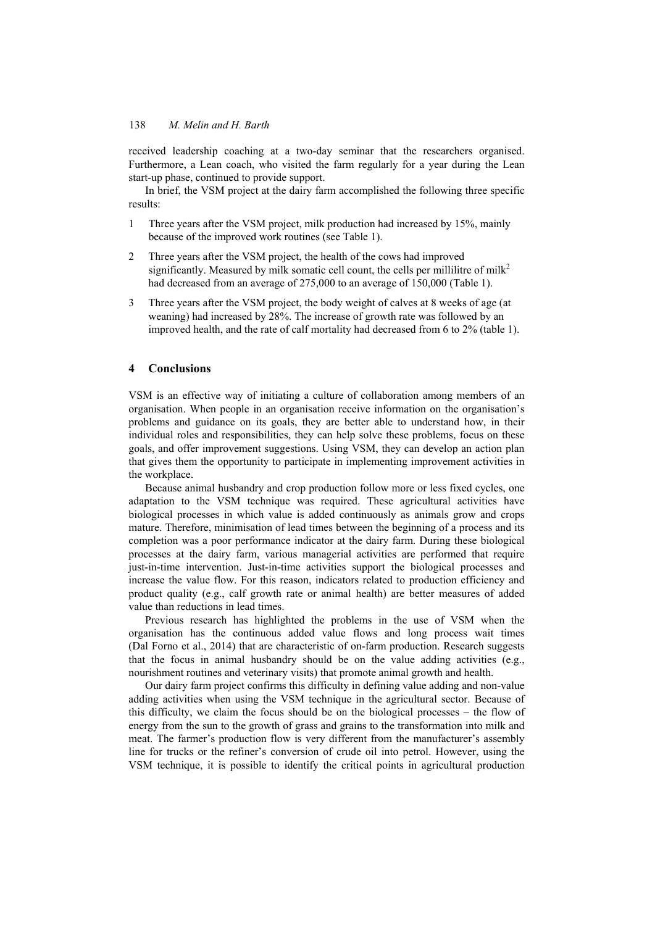received leadership coaching at a two-day seminar that the researchers organised. Furthermore, a Lean coach, who visited the farm regularly for a year during the Lean start-up phase, continued to provide support.

In brief, the VSM project at the dairy farm accomplished the following three specific results:

- 1 Three years after the VSM project, milk production had increased by 15%, mainly because of the improved work routines (see Table 1).
- 2 Three years after the VSM project, the health of the cows had improved significantly. Measured by milk somatic cell count, the cells per millilitre of milk<sup>2</sup> had decreased from an average of 275,000 to an average of 150,000 (Table 1).
- 3 Three years after the VSM project, the body weight of calves at 8 weeks of age (at weaning) had increased by 28%. The increase of growth rate was followed by an improved health, and the rate of calf mortality had decreased from 6 to 2% (table 1).

## **4 Conclusions**

VSM is an effective way of initiating a culture of collaboration among members of an organisation. When people in an organisation receive information on the organisation's problems and guidance on its goals, they are better able to understand how, in their individual roles and responsibilities, they can help solve these problems, focus on these goals, and offer improvement suggestions. Using VSM, they can develop an action plan that gives them the opportunity to participate in implementing improvement activities in the workplace.

Because animal husbandry and crop production follow more or less fixed cycles, one adaptation to the VSM technique was required. These agricultural activities have biological processes in which value is added continuously as animals grow and crops mature. Therefore, minimisation of lead times between the beginning of a process and its completion was a poor performance indicator at the dairy farm. During these biological processes at the dairy farm, various managerial activities are performed that require just-in-time intervention. Just-in-time activities support the biological processes and increase the value flow. For this reason, indicators related to production efficiency and product quality (e.g., calf growth rate or animal health) are better measures of added value than reductions in lead times.

Previous research has highlighted the problems in the use of VSM when the organisation has the continuous added value flows and long process wait times (Dal Forno et al., 2014) that are characteristic of on-farm production. Research suggests that the focus in animal husbandry should be on the value adding activities (e.g., nourishment routines and veterinary visits) that promote animal growth and health.

Our dairy farm project confirms this difficulty in defining value adding and non-value adding activities when using the VSM technique in the agricultural sector. Because of this difficulty, we claim the focus should be on the biological processes – the flow of energy from the sun to the growth of grass and grains to the transformation into milk and meat. The farmer's production flow is very different from the manufacturer's assembly line for trucks or the refiner's conversion of crude oil into petrol. However, using the VSM technique, it is possible to identify the critical points in agricultural production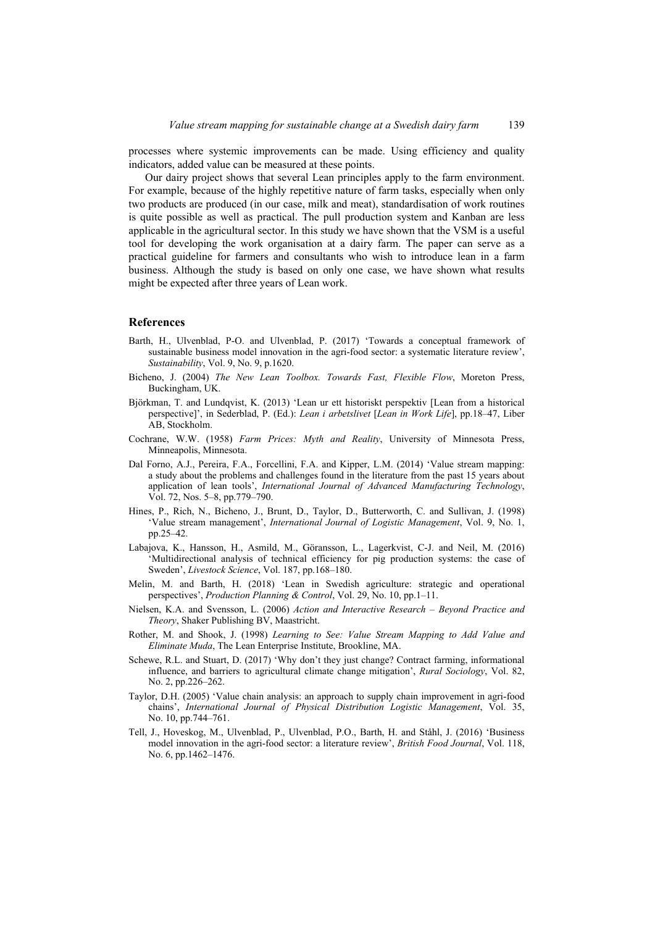processes where systemic improvements can be made. Using efficiency and quality indicators, added value can be measured at these points.

Our dairy project shows that several Lean principles apply to the farm environment. For example, because of the highly repetitive nature of farm tasks, especially when only two products are produced (in our case, milk and meat), standardisation of work routines is quite possible as well as practical. The pull production system and Kanban are less applicable in the agricultural sector. In this study we have shown that the VSM is a useful tool for developing the work organisation at a dairy farm. The paper can serve as a practical guideline for farmers and consultants who wish to introduce lean in a farm business. Although the study is based on only one case, we have shown what results might be expected after three years of Lean work.

#### **References**

- Barth, H., Ulvenblad, P-O. and Ulvenblad, P. (2017) 'Towards a conceptual framework of sustainable business model innovation in the agri-food sector: a systematic literature review', *Sustainability*, Vol. 9, No. 9, p.1620.
- Bicheno, J. (2004) *The New Lean Toolbox. Towards Fast, Flexible Flow*, Moreton Press, Buckingham, UK.
- Björkman, T. and Lundqvist, K. (2013) 'Lean ur ett historiskt perspektiv [Lean from a historical perspective]', in Sederblad, P. (Ed.): *Lean i arbetslivet* [*Lean in Work Life*], pp.18–47, Liber AB, Stockholm.
- Cochrane, W.W. (1958) *Farm Prices: Myth and Reality*, University of Minnesota Press, Minneapolis, Minnesota.
- Dal Forno, A.J., Pereira, F.A., Forcellini, F.A. and Kipper, L.M. (2014) 'Value stream mapping: a study about the problems and challenges found in the literature from the past 15 years about application of lean tools', *International Journal of Advanced Manufacturing Technology*, Vol. 72, Nos. 5–8, pp.779–790.
- Hines, P., Rich, N., Bicheno, J., Brunt, D., Taylor, D., Butterworth, C. and Sullivan, J. (1998) 'Value stream management', *International Journal of Logistic Management*, Vol. 9, No. 1, pp.25–42.
- Labajova, K., Hansson, H., Asmild, M., Göransson, L., Lagerkvist, C-J. and Neil, M. (2016) 'Multidirectional analysis of technical efficiency for pig production systems: the case of Sweden', *Livestock Science*, Vol. 187, pp.168–180.
- Melin, M. and Barth, H. (2018) 'Lean in Swedish agriculture: strategic and operational perspectives', *Production Planning & Control*, Vol. 29, No. 10, pp.1–11.
- Nielsen, K.A. and Svensson, L. (2006) *Action and Interactive Research Beyond Practice and Theory*, Shaker Publishing BV, Maastricht.
- Rother, M. and Shook, J. (1998) *Learning to See: Value Stream Mapping to Add Value and Eliminate Muda*, The Lean Enterprise Institute, Brookline, MA.
- Schewe, R.L. and Stuart, D. (2017) 'Why don't they just change? Contract farming, informational influence, and barriers to agricultural climate change mitigation', *Rural Sociology*, Vol. 82, No. 2, pp.226–262.
- Taylor, D.H. (2005) 'Value chain analysis: an approach to supply chain improvement in agri-food chains', *International Journal of Physical Distribution Logistic Management*, Vol. 35, No. 10, pp.744–761.
- Tell, J., Hoveskog, M., Ulvenblad, P., Ulvenblad, P.O., Barth, H. and Ståhl, J. (2016) 'Business model innovation in the agri-food sector: a literature review', *British Food Journal*, Vol. 118, No. 6, pp.1462–1476.